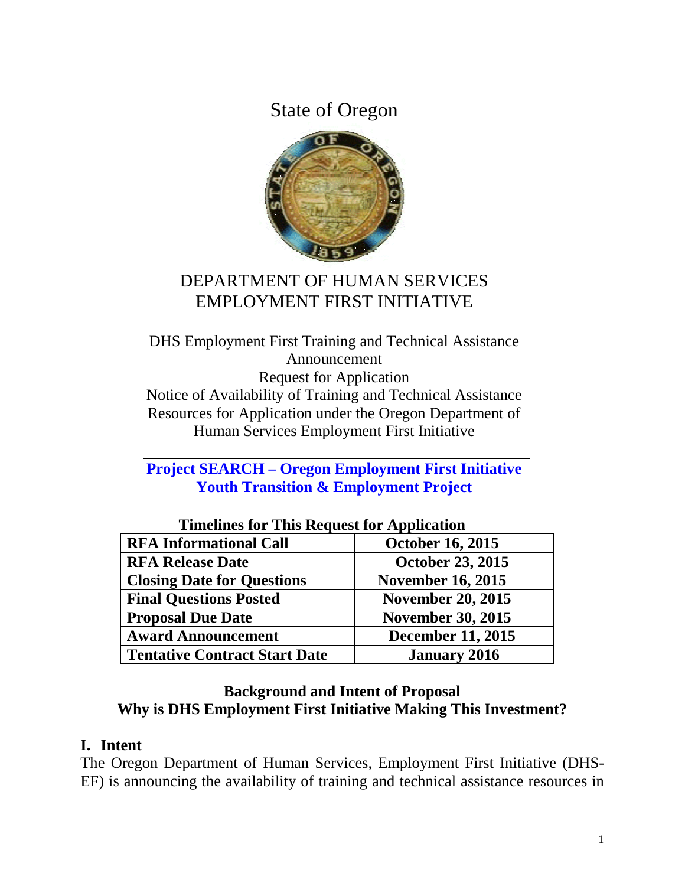State of Oregon



# DEPARTMENT OF HUMAN SERVICES EMPLOYMENT FIRST INITIATIVE

DHS Employment First Training and Technical Assistance Announcement Request for Application Notice of Availability of Training and Technical Assistance Resources for Application under the Oregon Department of Human Services Employment First Initiative

**Project SEARCH – Oregon Employment First Initiative Youth Transition & Employment Project** 

| THIRTHICS TOT THIS INCLUDED TOT Application |                          |  |  |
|---------------------------------------------|--------------------------|--|--|
| <b>RFA Informational Call</b>               | <b>October 16, 2015</b>  |  |  |
| <b>RFA Release Date</b>                     | <b>October 23, 2015</b>  |  |  |
| <b>Closing Date for Questions</b>           | <b>November 16, 2015</b> |  |  |
| <b>Final Questions Posted</b>               | <b>November 20, 2015</b> |  |  |
| <b>Proposal Due Date</b>                    | <b>November 30, 2015</b> |  |  |
| <b>Award Announcement</b>                   | <b>December 11, 2015</b> |  |  |
| <b>Tentative Contract Start Date</b>        | <b>January 2016</b>      |  |  |

**Timelines for This Request for Application** 

#### **Background and Intent of Proposal Why is DHS Employment First Initiative Making This Investment?**

#### **I. Intent**

The Oregon Department of Human Services, Employment First Initiative (DHS-EF) is announcing the availability of training and technical assistance resources in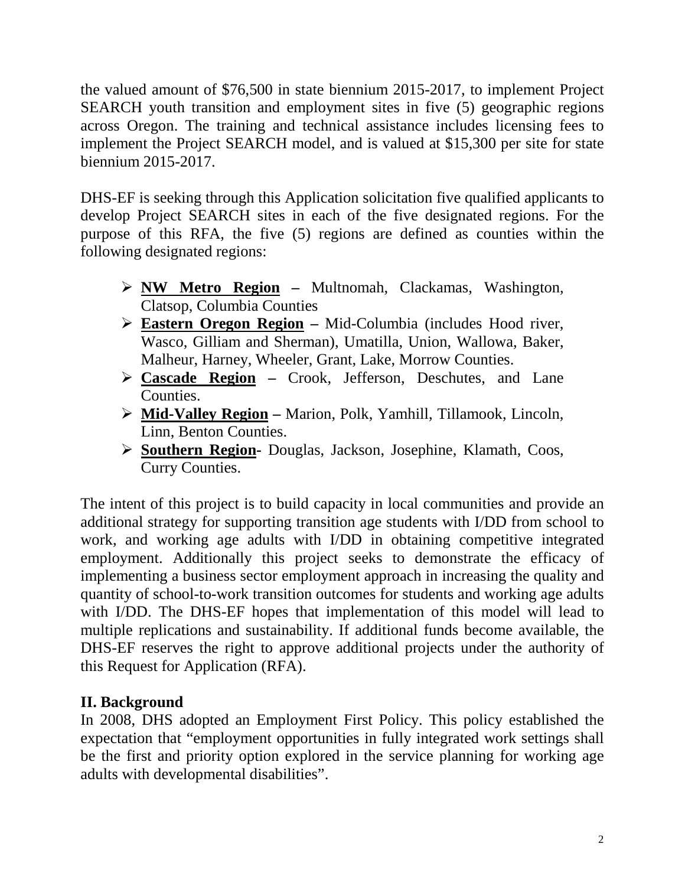the valued amount of \$76,500 in state biennium 2015-2017, to implement Project SEARCH youth transition and employment sites in five (5) geographic regions across Oregon. The training and technical assistance includes licensing fees to implement the Project SEARCH model, and is valued at \$15,300 per site for state biennium 2015-2017.

DHS-EF is seeking through this Application solicitation five qualified applicants to develop Project SEARCH sites in each of the five designated regions. For the purpose of this RFA, the five (5) regions are defined as counties within the following designated regions:

- **NW Metro Region** Multnomah, Clackamas, Washington, Clatsop, Columbia Counties
- **Eastern Oregon Region** Mid-Columbia (includes Hood river, Wasco, Gilliam and Sherman), Umatilla, Union, Wallowa, Baker, Malheur, Harney, Wheeler, Grant, Lake, Morrow Counties.
- **Cascade Region** Crook, Jefferson, Deschutes, and Lane Counties.
- **Mid-Valley Region** Marion, Polk, Yamhill, Tillamook, Lincoln, Linn, Benton Counties.
- **Southern Region-** Douglas, Jackson, Josephine, Klamath, Coos, Curry Counties.

The intent of this project is to build capacity in local communities and provide an additional strategy for supporting transition age students with I/DD from school to work, and working age adults with I/DD in obtaining competitive integrated employment. Additionally this project seeks to demonstrate the efficacy of implementing a business sector employment approach in increasing the quality and quantity of school-to-work transition outcomes for students and working age adults with I/DD. The DHS-EF hopes that implementation of this model will lead to multiple replications and sustainability. If additional funds become available, the DHS-EF reserves the right to approve additional projects under the authority of this Request for Application (RFA).

#### **II. Background**

In 2008, DHS adopted an Employment First Policy. This policy established the expectation that "employment opportunities in fully integrated work settings shall be the first and priority option explored in the service planning for working age adults with developmental disabilities".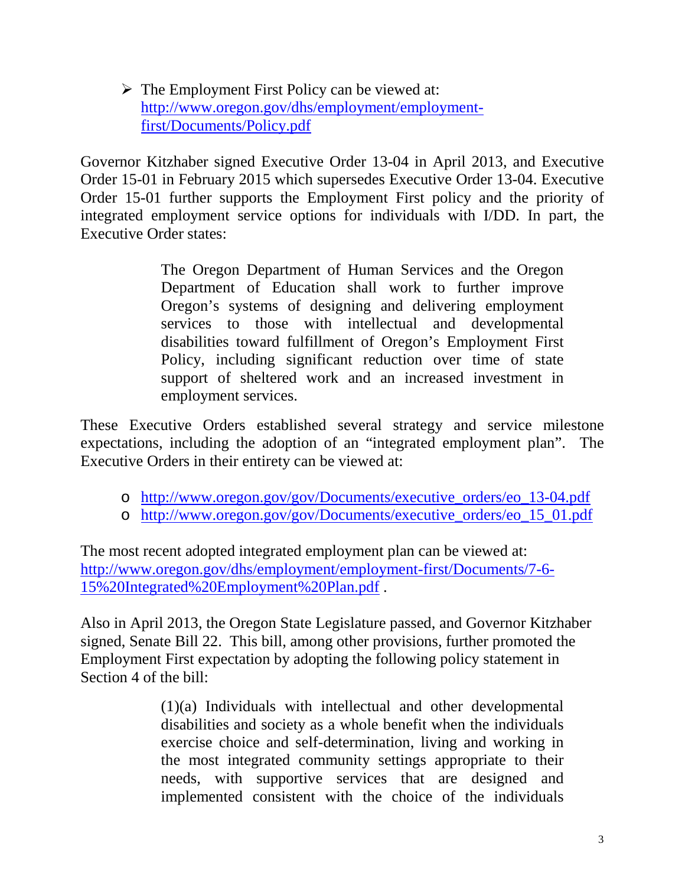$\triangleright$  The Employment First Policy can be viewed at: http://www.oregon.gov/dhs/employment/employmentfirst/Documents/Policy.pdf

Governor Kitzhaber signed Executive Order 13-04 in April 2013, and Executive Order 15-01 in February 2015 which supersedes Executive Order 13-04. Executive Order 15-01 further supports the Employment First policy and the priority of integrated employment service options for individuals with I/DD. In part, the Executive Order states:

> The Oregon Department of Human Services and the Oregon Department of Education shall work to further improve Oregon's systems of designing and delivering employment services to those with intellectual and developmental disabilities toward fulfillment of Oregon's Employment First Policy, including significant reduction over time of state support of sheltered work and an increased investment in employment services.

These Executive Orders established several strategy and service milestone expectations, including the adoption of an "integrated employment plan". The Executive Orders in their entirety can be viewed at:

- o http://www.oregon.gov/gov/Documents/executive\_orders/eo\_13-04.pdf
- o http://www.oregon.gov/gov/Documents/executive\_orders/eo\_15\_01.pdf

The most recent adopted integrated employment plan can be viewed at: http://www.oregon.gov/dhs/employment/employment-first/Documents/7-6- 15%20Integrated%20Employment%20Plan.pdf .

Also in April 2013, the Oregon State Legislature passed, and Governor Kitzhaber signed, Senate Bill 22. This bill, among other provisions, further promoted the Employment First expectation by adopting the following policy statement in Section 4 of the bill:

> (1)(a) Individuals with intellectual and other developmental disabilities and society as a whole benefit when the individuals exercise choice and self-determination, living and working in the most integrated community settings appropriate to their needs, with supportive services that are designed and implemented consistent with the choice of the individuals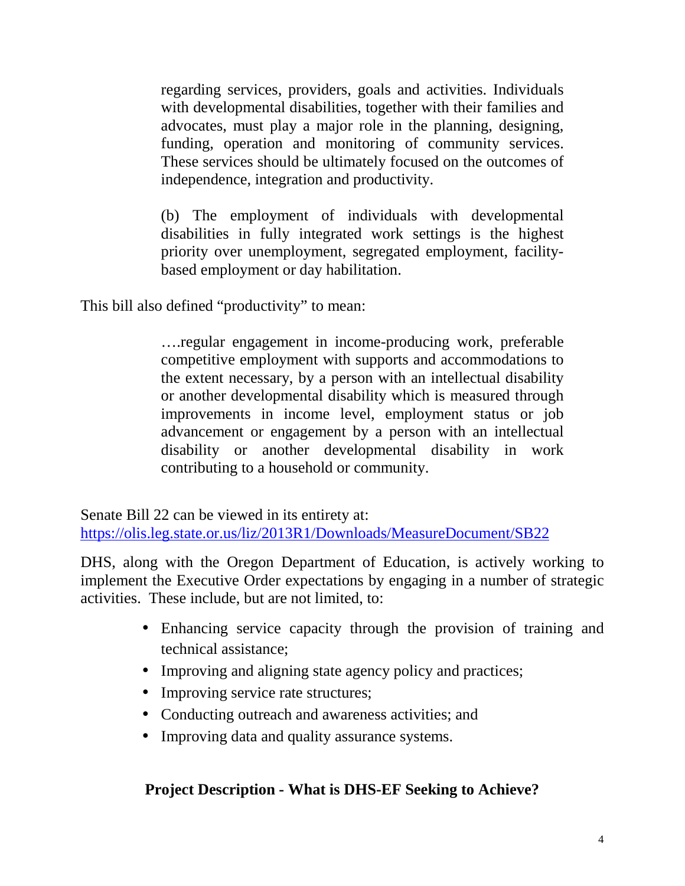regarding services, providers, goals and activities. Individuals with developmental disabilities, together with their families and advocates, must play a major role in the planning, designing, funding, operation and monitoring of community services. These services should be ultimately focused on the outcomes of independence, integration and productivity.

(b) The employment of individuals with developmental disabilities in fully integrated work settings is the highest priority over unemployment, segregated employment, facilitybased employment or day habilitation.

This bill also defined "productivity" to mean:

….regular engagement in income-producing work, preferable competitive employment with supports and accommodations to the extent necessary, by a person with an intellectual disability or another developmental disability which is measured through improvements in income level, employment status or job advancement or engagement by a person with an intellectual disability or another developmental disability in work contributing to a household or community.

Senate Bill 22 can be viewed in its entirety at: https://olis.leg.state.or.us/liz/2013R1/Downloads/MeasureDocument/SB22

DHS, along with the Oregon Department of Education, is actively working to implement the Executive Order expectations by engaging in a number of strategic activities. These include, but are not limited, to:

- Enhancing service capacity through the provision of training and technical assistance;
- Improving and aligning state agency policy and practices;
- Improving service rate structures;
- Conducting outreach and awareness activities; and
- Improving data and quality assurance systems.

## **Project Description - What is DHS-EF Seeking to Achieve?**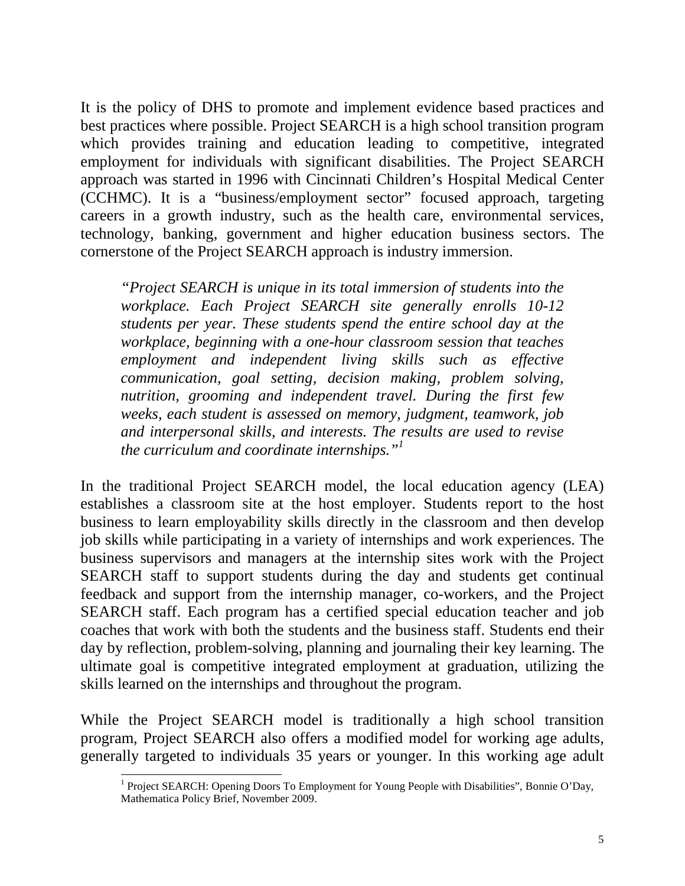It is the policy of DHS to promote and implement evidence based practices and best practices where possible. Project SEARCH is a high school transition program which provides training and education leading to competitive, integrated employment for individuals with significant disabilities. The Project SEARCH approach was started in 1996 with Cincinnati Children's Hospital Medical Center (CCHMC). It is a "business/employment sector" focused approach, targeting careers in a growth industry, such as the health care, environmental services, technology, banking, government and higher education business sectors. The cornerstone of the Project SEARCH approach is industry immersion.

*"Project SEARCH is unique in its total immersion of students into the workplace. Each Project SEARCH site generally enrolls 10-12 students per year. These students spend the entire school day at the workplace, beginning with a one-hour classroom session that teaches employment and independent living skills such as effective communication, goal setting, decision making, problem solving, nutrition, grooming and independent travel. During the first few weeks, each student is assessed on memory, judgment, teamwork, job and interpersonal skills, and interests. The results are used to revise the curriculum and coordinate internships."<sup>1</sup>* 

In the traditional Project SEARCH model, the local education agency (LEA) establishes a classroom site at the host employer. Students report to the host business to learn employability skills directly in the classroom and then develop job skills while participating in a variety of internships and work experiences. The business supervisors and managers at the internship sites work with the Project SEARCH staff to support students during the day and students get continual feedback and support from the internship manager, co-workers, and the Project SEARCH staff. Each program has a certified special education teacher and job coaches that work with both the students and the business staff. Students end their day by reflection, problem-solving, planning and journaling their key learning. The ultimate goal is competitive integrated employment at graduation, utilizing the skills learned on the internships and throughout the program.

While the Project SEARCH model is traditionally a high school transition program, Project SEARCH also offers a modified model for working age adults, generally targeted to individuals 35 years or younger. In this working age adult

<sup>1&</sup>lt;br><sup>1</sup> Project SEARCH: Opening Doors To Employment for Young People with Disabilities", Bonnie O'Day, Mathematica Policy Brief, November 2009.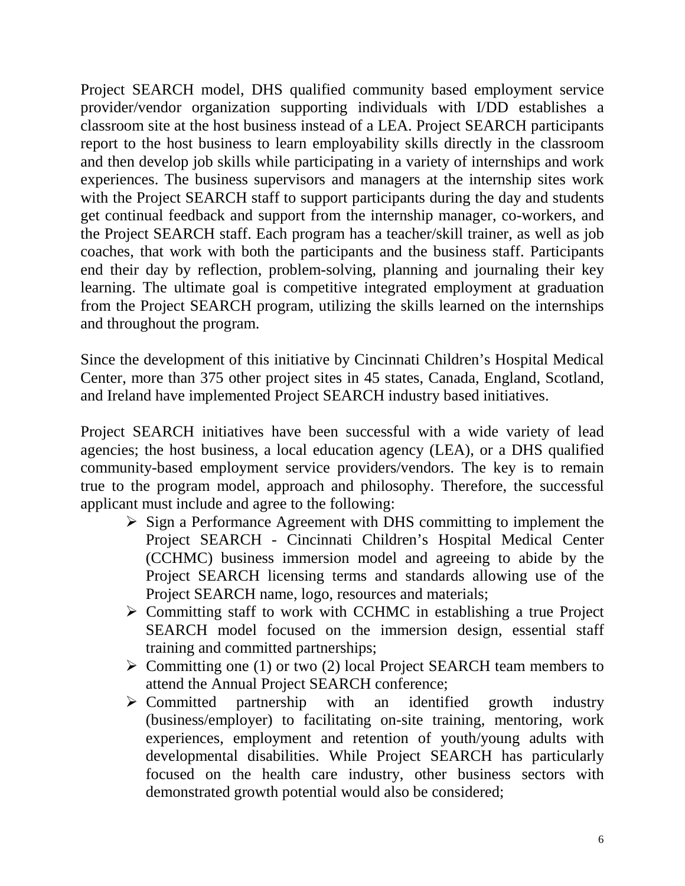Project SEARCH model, DHS qualified community based employment service provider/vendor organization supporting individuals with I/DD establishes a classroom site at the host business instead of a LEA. Project SEARCH participants report to the host business to learn employability skills directly in the classroom and then develop job skills while participating in a variety of internships and work experiences. The business supervisors and managers at the internship sites work with the Project SEARCH staff to support participants during the day and students get continual feedback and support from the internship manager, co-workers, and the Project SEARCH staff. Each program has a teacher/skill trainer, as well as job coaches, that work with both the participants and the business staff. Participants end their day by reflection, problem-solving, planning and journaling their key learning. The ultimate goal is competitive integrated employment at graduation from the Project SEARCH program, utilizing the skills learned on the internships and throughout the program.

Since the development of this initiative by Cincinnati Children's Hospital Medical Center, more than 375 other project sites in 45 states, Canada, England, Scotland, and Ireland have implemented Project SEARCH industry based initiatives.

Project SEARCH initiatives have been successful with a wide variety of lead agencies; the host business, a local education agency (LEA), or a DHS qualified community-based employment service providers/vendors. The key is to remain true to the program model, approach and philosophy. Therefore, the successful applicant must include and agree to the following:

- $\triangleright$  Sign a Performance Agreement with DHS committing to implement the Project SEARCH - Cincinnati Children's Hospital Medical Center (CCHMC) business immersion model and agreeing to abide by the Project SEARCH licensing terms and standards allowing use of the Project SEARCH name, logo, resources and materials;
- $\triangleright$  Committing staff to work with CCHMC in establishing a true Project SEARCH model focused on the immersion design, essential staff training and committed partnerships;
- $\triangleright$  Committing one (1) or two (2) local Project SEARCH team members to attend the Annual Project SEARCH conference;
- $\triangleright$  Committed partnership with an identified growth industry (business/employer) to facilitating on-site training, mentoring, work experiences, employment and retention of youth/young adults with developmental disabilities. While Project SEARCH has particularly focused on the health care industry, other business sectors with demonstrated growth potential would also be considered;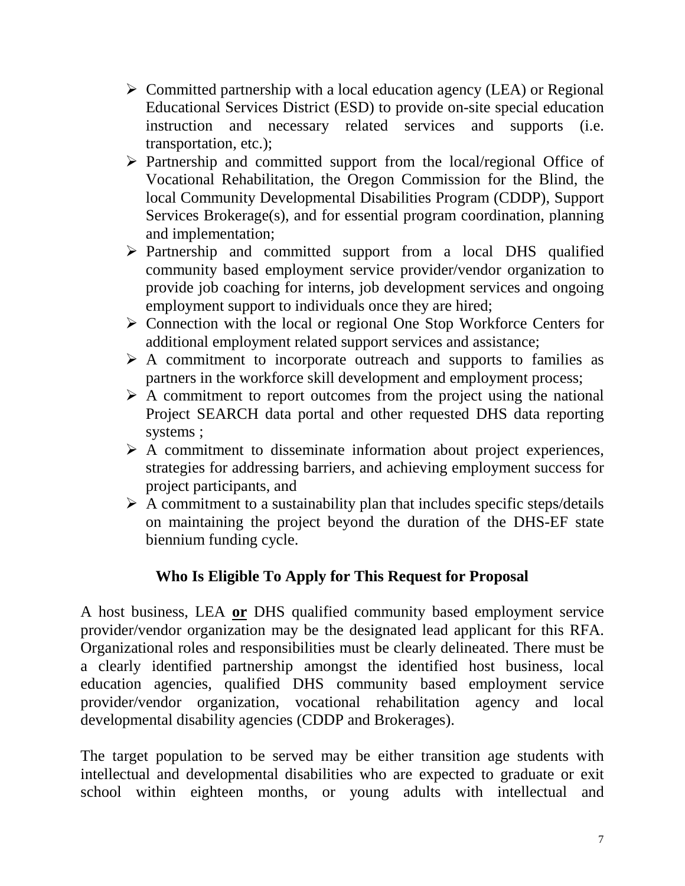- $\triangleright$  Committed partnership with a local education agency (LEA) or Regional Educational Services District (ESD) to provide on-site special education instruction and necessary related services and supports (i.e. transportation, etc.);
- $\triangleright$  Partnership and committed support from the local/regional Office of Vocational Rehabilitation, the Oregon Commission for the Blind, the local Community Developmental Disabilities Program (CDDP), Support Services Brokerage(s), and for essential program coordination, planning and implementation;
- $\triangleright$  Partnership and committed support from a local DHS qualified community based employment service provider/vendor organization to provide job coaching for interns, job development services and ongoing employment support to individuals once they are hired;
- $\triangleright$  Connection with the local or regional One Stop Workforce Centers for additional employment related support services and assistance;
- $\triangleright$  A commitment to incorporate outreach and supports to families as partners in the workforce skill development and employment process;
- $\triangleright$  A commitment to report outcomes from the project using the national Project SEARCH data portal and other requested DHS data reporting systems ;
- $\triangleright$  A commitment to disseminate information about project experiences, strategies for addressing barriers, and achieving employment success for project participants, and
- $\triangleright$  A commitment to a sustainability plan that includes specific steps/details on maintaining the project beyond the duration of the DHS-EF state biennium funding cycle.

## **Who Is Eligible To Apply for This Request for Proposal**

A host business, LEA **or** DHS qualified community based employment service provider/vendor organization may be the designated lead applicant for this RFA. Organizational roles and responsibilities must be clearly delineated. There must be a clearly identified partnership amongst the identified host business, local education agencies, qualified DHS community based employment service provider/vendor organization, vocational rehabilitation agency and local developmental disability agencies (CDDP and Brokerages).

The target population to be served may be either transition age students with intellectual and developmental disabilities who are expected to graduate or exit school within eighteen months, or young adults with intellectual and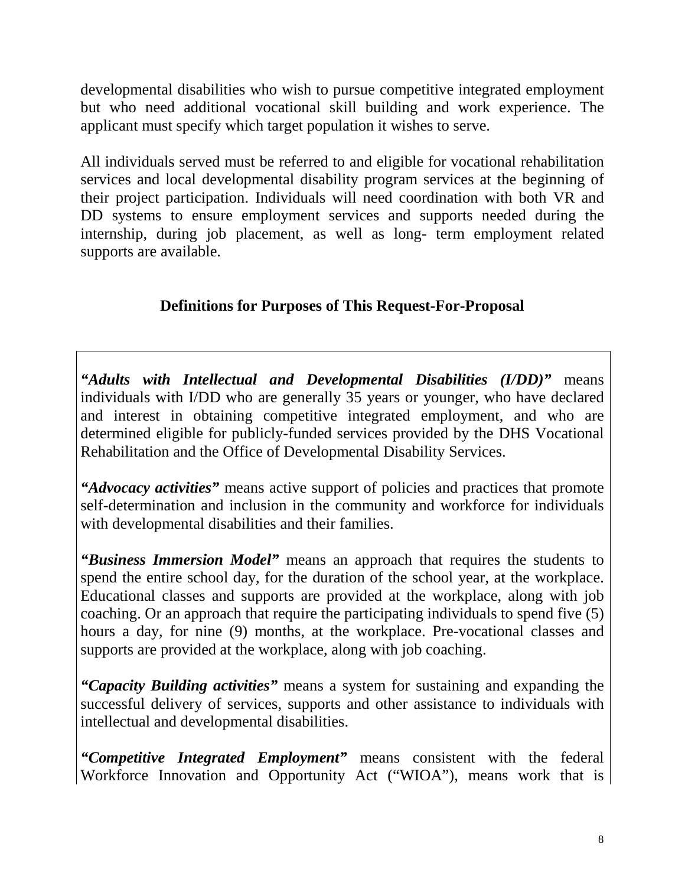developmental disabilities who wish to pursue competitive integrated employment but who need additional vocational skill building and work experience. The applicant must specify which target population it wishes to serve.

All individuals served must be referred to and eligible for vocational rehabilitation services and local developmental disability program services at the beginning of their project participation. Individuals will need coordination with both VR and DD systems to ensure employment services and supports needed during the internship, during job placement, as well as long- term employment related supports are available.

# **Definitions for Purposes of This Request-For-Proposal**

*"Adults with Intellectual and Developmental Disabilities (I/DD)"* means individuals with I/DD who are generally 35 years or younger, who have declared and interest in obtaining competitive integrated employment, and who are determined eligible for publicly-funded services provided by the DHS Vocational Rehabilitation and the Office of Developmental Disability Services.

*"Advocacy activities"* means active support of policies and practices that promote self-determination and inclusion in the community and workforce for individuals with developmental disabilities and their families.

*"Business Immersion Model"* means an approach that requires the students to spend the entire school day, for the duration of the school year, at the workplace. Educational classes and supports are provided at the workplace, along with job coaching. Or an approach that require the participating individuals to spend five (5) hours a day, for nine (9) months, at the workplace. Pre-vocational classes and supports are provided at the workplace, along with job coaching.

*"Capacity Building activities"* means a system for sustaining and expanding the successful delivery of services, supports and other assistance to individuals with intellectual and developmental disabilities.

*"Competitive Integrated Employment"* means consistent with the federal Workforce Innovation and Opportunity Act ("WIOA"), means work that is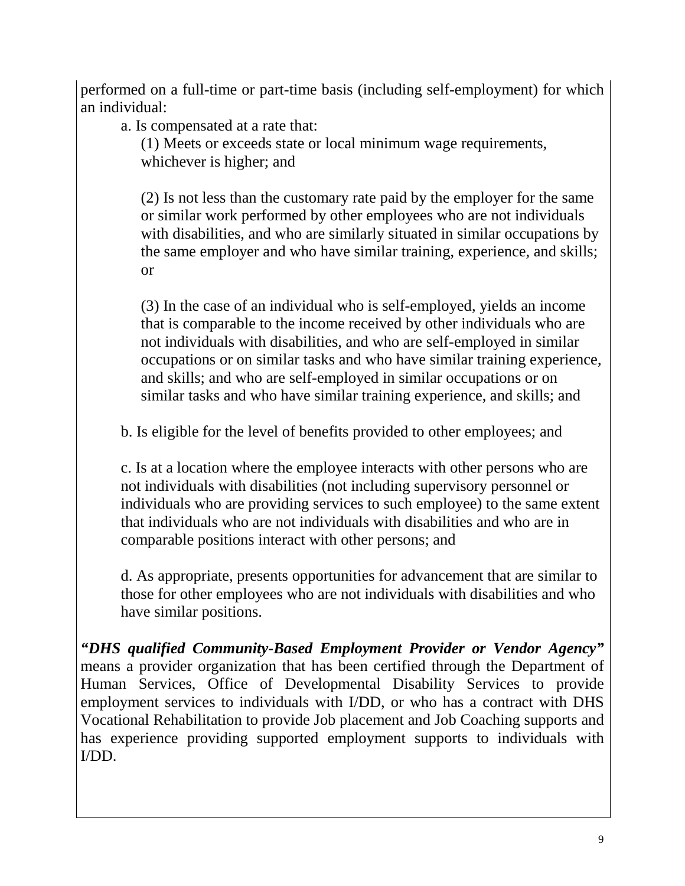performed on a full-time or part-time basis (including self-employment) for which an individual:

a. Is compensated at a rate that:

(1) Meets or exceeds state or local minimum wage requirements, whichever is higher; and

(2) Is not less than the customary rate paid by the employer for the same or similar work performed by other employees who are not individuals with disabilities, and who are similarly situated in similar occupations by the same employer and who have similar training, experience, and skills; or

(3) In the case of an individual who is self-employed, yields an income that is comparable to the income received by other individuals who are not individuals with disabilities, and who are self-employed in similar occupations or on similar tasks and who have similar training experience, and skills; and who are self-employed in similar occupations or on similar tasks and who have similar training experience, and skills; and

b. Is eligible for the level of benefits provided to other employees; and

c. Is at a location where the employee interacts with other persons who are not individuals with disabilities (not including supervisory personnel or individuals who are providing services to such employee) to the same extent that individuals who are not individuals with disabilities and who are in comparable positions interact with other persons; and

d. As appropriate, presents opportunities for advancement that are similar to those for other employees who are not individuals with disabilities and who have similar positions.

*"DHS qualified Community-Based Employment Provider or Vendor Agency"*  means a provider organization that has been certified through the Department of Human Services, Office of Developmental Disability Services to provide employment services to individuals with I/DD, or who has a contract with DHS Vocational Rehabilitation to provide Job placement and Job Coaching supports and has experience providing supported employment supports to individuals with I/DD.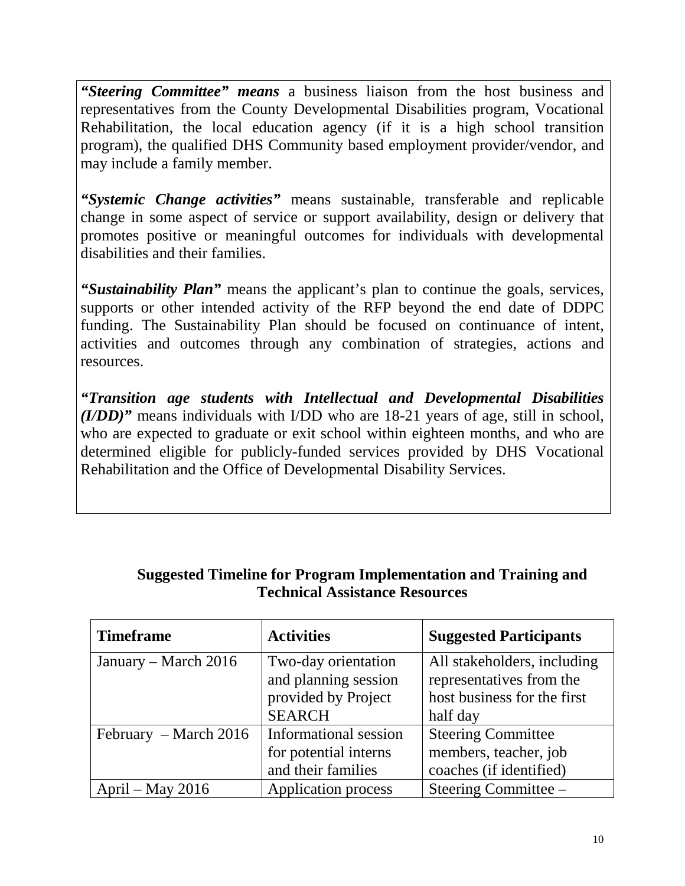*"Steering Committee" means* a business liaison from the host business and representatives from the County Developmental Disabilities program, Vocational Rehabilitation, the local education agency (if it is a high school transition program), the qualified DHS Community based employment provider/vendor, and may include a family member.

*"Systemic Change activities"* means sustainable, transferable and replicable change in some aspect of service or support availability, design or delivery that promotes positive or meaningful outcomes for individuals with developmental disabilities and their families.

*"Sustainability Plan"* means the applicant's plan to continue the goals, services, supports or other intended activity of the RFP beyond the end date of DDPC funding. The Sustainability Plan should be focused on continuance of intent, activities and outcomes through any combination of strategies, actions and resources.

*"Transition age students with Intellectual and Developmental Disabilities (I/DD)"* means individuals with I/DD who are 18-21 years of age, still in school, who are expected to graduate or exit school within eighteen months, and who are determined eligible for publicly-funded services provided by DHS Vocational Rehabilitation and the Office of Developmental Disability Services.

#### **Suggested Timeline for Program Implementation and Training and Technical Assistance Resources**

| <b>Timeframe</b>      | <b>Activities</b>     | <b>Suggested Participants</b> |
|-----------------------|-----------------------|-------------------------------|
| January – March 2016  | Two-day orientation   | All stakeholders, including   |
|                       | and planning session  | representatives from the      |
|                       | provided by Project   | host business for the first   |
|                       | <b>SEARCH</b>         | half day                      |
| February – March 2016 | Informational session | <b>Steering Committee</b>     |
|                       | for potential interns | members, teacher, job         |
|                       | and their families    | coaches (if identified)       |
| April – May $2016$    | Application process   | Steering Committee –          |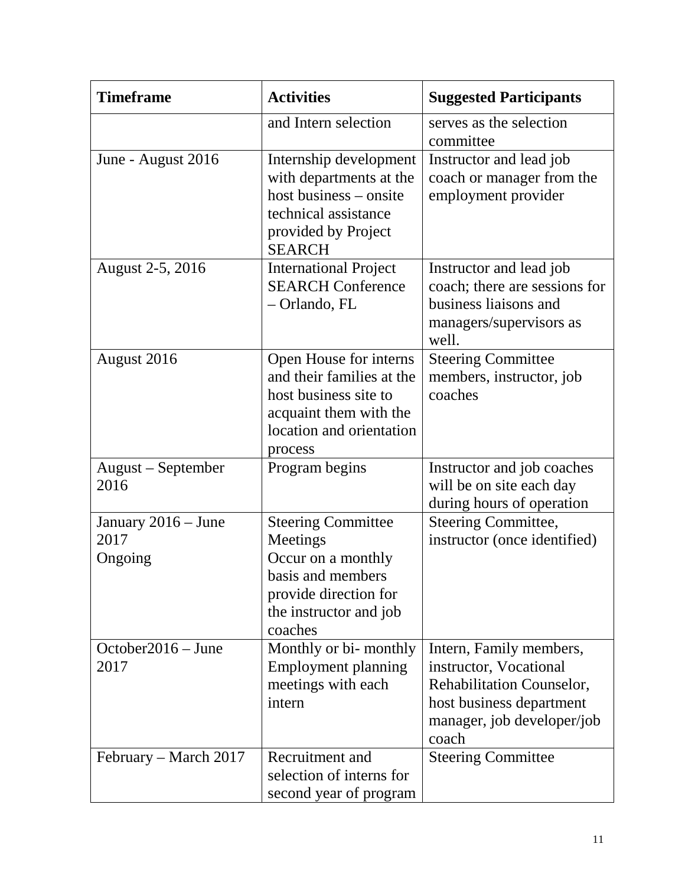| <b>Timeframe</b>                       | <b>Activities</b>                                                                                                                              | <b>Suggested Participants</b>                                                                                                                     |
|----------------------------------------|------------------------------------------------------------------------------------------------------------------------------------------------|---------------------------------------------------------------------------------------------------------------------------------------------------|
|                                        | and Intern selection                                                                                                                           | serves as the selection<br>committee                                                                                                              |
| June - August 2016                     | Internship development<br>with departments at the<br>host business – onsite<br>technical assistance<br>provided by Project<br><b>SEARCH</b>    | Instructor and lead job<br>coach or manager from the<br>employment provider                                                                       |
| August 2-5, 2016                       | <b>International Project</b><br><b>SEARCH Conference</b><br>- Orlando, FL                                                                      | Instructor and lead job<br>coach; there are sessions for<br>business liaisons and<br>managers/supervisors as<br>well.                             |
| August 2016                            | Open House for interns<br>and their families at the<br>host business site to<br>acquaint them with the<br>location and orientation<br>process  | <b>Steering Committee</b><br>members, instructor, job<br>coaches                                                                                  |
| August – September<br>2016             | Program begins                                                                                                                                 | Instructor and job coaches<br>will be on site each day<br>during hours of operation                                                               |
| January 2016 - June<br>2017<br>Ongoing | <b>Steering Committee</b><br>Meetings<br>Occur on a monthly<br>basis and members<br>provide direction for<br>the instructor and job<br>coaches | <b>Steering Committee,</b><br>instructor (once identified)                                                                                        |
| October2016 – June<br>2017             | Monthly or bi-monthly<br>Employment planning<br>meetings with each<br>intern                                                                   | Intern, Family members,<br>instructor, Vocational<br>Rehabilitation Counselor,<br>host business department<br>manager, job developer/job<br>coach |
| February – March 2017                  | Recruitment and<br>selection of interns for<br>second year of program                                                                          | <b>Steering Committee</b>                                                                                                                         |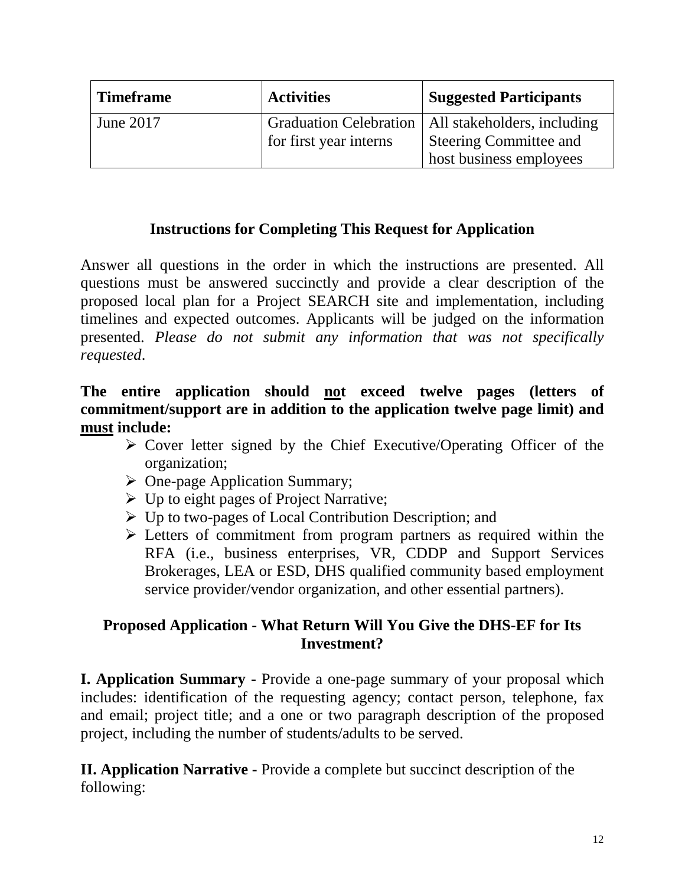| <b>Timeframe</b> | <b>Activities</b>      | <b>Suggested Participants</b>                        |
|------------------|------------------------|------------------------------------------------------|
| June 2017        |                        | Graduation Celebration   All stakeholders, including |
|                  | for first year interns | <b>Steering Committee and</b>                        |
|                  |                        | host business employees                              |

## **Instructions for Completing This Request for Application**

Answer all questions in the order in which the instructions are presented. All questions must be answered succinctly and provide a clear description of the proposed local plan for a Project SEARCH site and implementation, including timelines and expected outcomes. Applicants will be judged on the information presented. *Please do not submit any information that was not specifically requested*.

#### **The entire application should not exceed twelve pages (letters of commitment/support are in addition to the application twelve page limit) and must include:**

- $\triangleright$  Cover letter signed by the Chief Executive/Operating Officer of the organization;
- $\triangleright$  One-page Application Summary;
- $\triangleright$  Up to eight pages of Project Narrative;
- $\triangleright$  Up to two-pages of Local Contribution Description; and
- Electrical Commitment from program partners as required within the RFA (i.e., business enterprises, VR, CDDP and Support Services Brokerages, LEA or ESD, DHS qualified community based employment service provider/vendor organization, and other essential partners).

### **Proposed Application - What Return Will You Give the DHS-EF for Its Investment?**

**I. Application Summary -** Provide a one-page summary of your proposal which includes: identification of the requesting agency; contact person, telephone, fax and email; project title; and a one or two paragraph description of the proposed project, including the number of students/adults to be served.

**II. Application Narrative -** Provide a complete but succinct description of the following: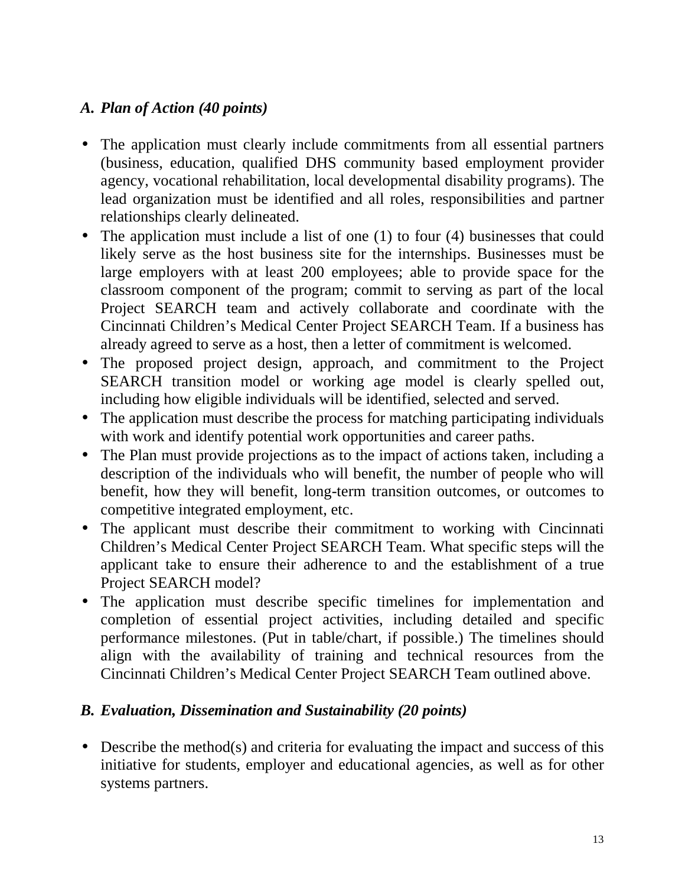### *A. Plan of Action (40 points)*

- The application must clearly include commitments from all essential partners (business, education, qualified DHS community based employment provider agency, vocational rehabilitation, local developmental disability programs). The lead organization must be identified and all roles, responsibilities and partner relationships clearly delineated.
- The application must include a list of one (1) to four (4) businesses that could likely serve as the host business site for the internships. Businesses must be large employers with at least 200 employees; able to provide space for the classroom component of the program; commit to serving as part of the local Project SEARCH team and actively collaborate and coordinate with the Cincinnati Children's Medical Center Project SEARCH Team. If a business has already agreed to serve as a host, then a letter of commitment is welcomed.
- The proposed project design, approach, and commitment to the Project SEARCH transition model or working age model is clearly spelled out, including how eligible individuals will be identified, selected and served.
- The application must describe the process for matching participating individuals with work and identify potential work opportunities and career paths.
- The Plan must provide projections as to the impact of actions taken, including a description of the individuals who will benefit, the number of people who will benefit, how they will benefit, long-term transition outcomes, or outcomes to competitive integrated employment, etc.
- The applicant must describe their commitment to working with Cincinnati Children's Medical Center Project SEARCH Team. What specific steps will the applicant take to ensure their adherence to and the establishment of a true Project SEARCH model?
- The application must describe specific timelines for implementation and completion of essential project activities, including detailed and specific performance milestones. (Put in table/chart, if possible.) The timelines should align with the availability of training and technical resources from the Cincinnati Children's Medical Center Project SEARCH Team outlined above.

#### *B. Evaluation, Dissemination and Sustainability (20 points)*

• Describe the method(s) and criteria for evaluating the impact and success of this initiative for students, employer and educational agencies, as well as for other systems partners.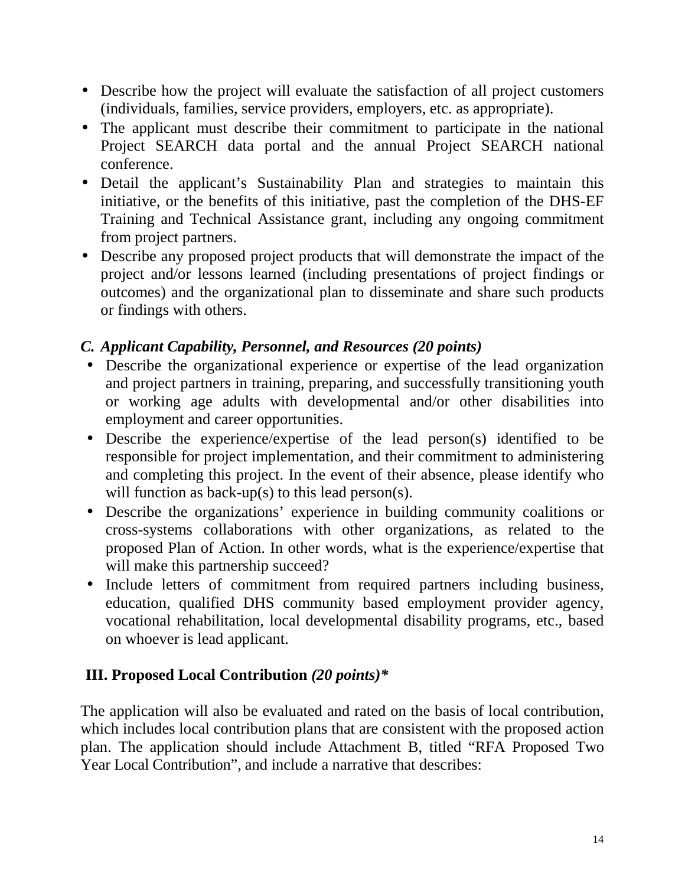- Describe how the project will evaluate the satisfaction of all project customers (individuals, families, service providers, employers, etc. as appropriate).
- The applicant must describe their commitment to participate in the national Project SEARCH data portal and the annual Project SEARCH national conference.
- Detail the applicant's Sustainability Plan and strategies to maintain this initiative, or the benefits of this initiative, past the completion of the DHS-EF Training and Technical Assistance grant, including any ongoing commitment from project partners.
- Describe any proposed project products that will demonstrate the impact of the project and/or lessons learned (including presentations of project findings or outcomes) and the organizational plan to disseminate and share such products or findings with others.

# *C. Applicant Capability, Personnel, and Resources (20 points)*

- Describe the organizational experience or expertise of the lead organization and project partners in training, preparing, and successfully transitioning youth or working age adults with developmental and/or other disabilities into employment and career opportunities.
- Describe the experience/expertise of the lead person(s) identified to be responsible for project implementation, and their commitment to administering and completing this project. In the event of their absence, please identify who will function as back-up(s) to this lead person(s).
- Describe the organizations' experience in building community coalitions or cross-systems collaborations with other organizations, as related to the proposed Plan of Action. In other words, what is the experience/expertise that will make this partnership succeed?
- Include letters of commitment from required partners including business, education, qualified DHS community based employment provider agency, vocational rehabilitation, local developmental disability programs, etc., based on whoever is lead applicant.

## **III. Proposed Local Contribution** *(20 points)\**

The application will also be evaluated and rated on the basis of local contribution, which includes local contribution plans that are consistent with the proposed action plan. The application should include Attachment B, titled "RFA Proposed Two Year Local Contribution", and include a narrative that describes: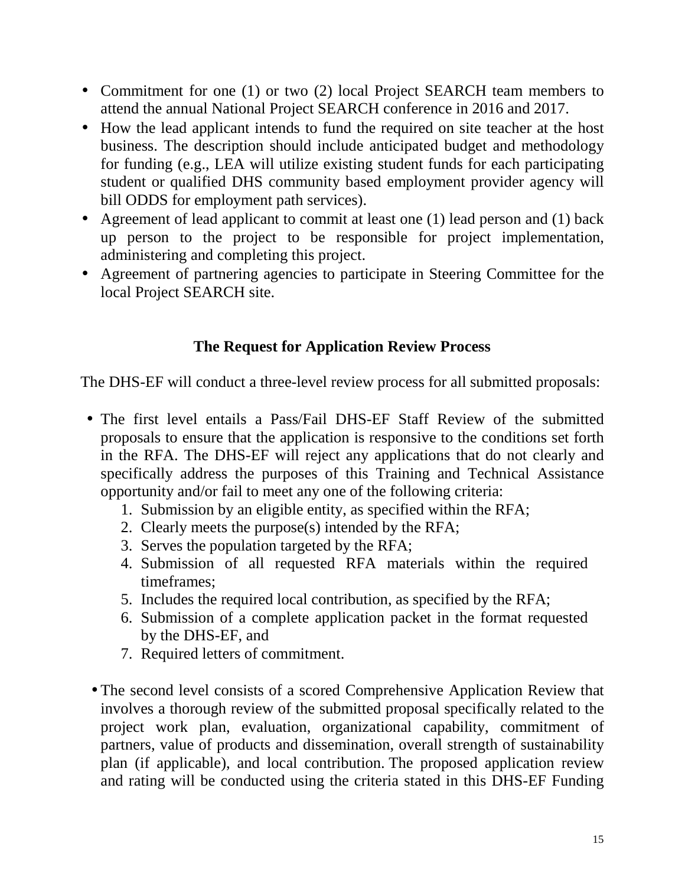- Commitment for one (1) or two (2) local Project SEARCH team members to attend the annual National Project SEARCH conference in 2016 and 2017.
- How the lead applicant intends to fund the required on site teacher at the host business. The description should include anticipated budget and methodology for funding (e.g., LEA will utilize existing student funds for each participating student or qualified DHS community based employment provider agency will bill ODDS for employment path services).
- Agreement of lead applicant to commit at least one (1) lead person and (1) back up person to the project to be responsible for project implementation, administering and completing this project.
- Agreement of partnering agencies to participate in Steering Committee for the local Project SEARCH site.

## **The Request for Application Review Process**

The DHS-EF will conduct a three-level review process for all submitted proposals:

- The first level entails a Pass/Fail DHS-EF Staff Review of the submitted proposals to ensure that the application is responsive to the conditions set forth in the RFA. The DHS-EF will reject any applications that do not clearly and specifically address the purposes of this Training and Technical Assistance opportunity and/or fail to meet any one of the following criteria:
	- 1. Submission by an eligible entity, as specified within the RFA;
	- 2. Clearly meets the purpose(s) intended by the RFA;
	- 3. Serves the population targeted by the RFA;
	- 4. Submission of all requested RFA materials within the required timeframes;
	- 5. Includes the required local contribution, as specified by the RFA;
	- 6. Submission of a complete application packet in the format requested by the DHS-EF, and
	- 7. Required letters of commitment.
- The second level consists of a scored Comprehensive Application Review that involves a thorough review of the submitted proposal specifically related to the project work plan, evaluation, organizational capability, commitment of partners, value of products and dissemination, overall strength of sustainability plan (if applicable), and local contribution. The proposed application review and rating will be conducted using the criteria stated in this DHS-EF Funding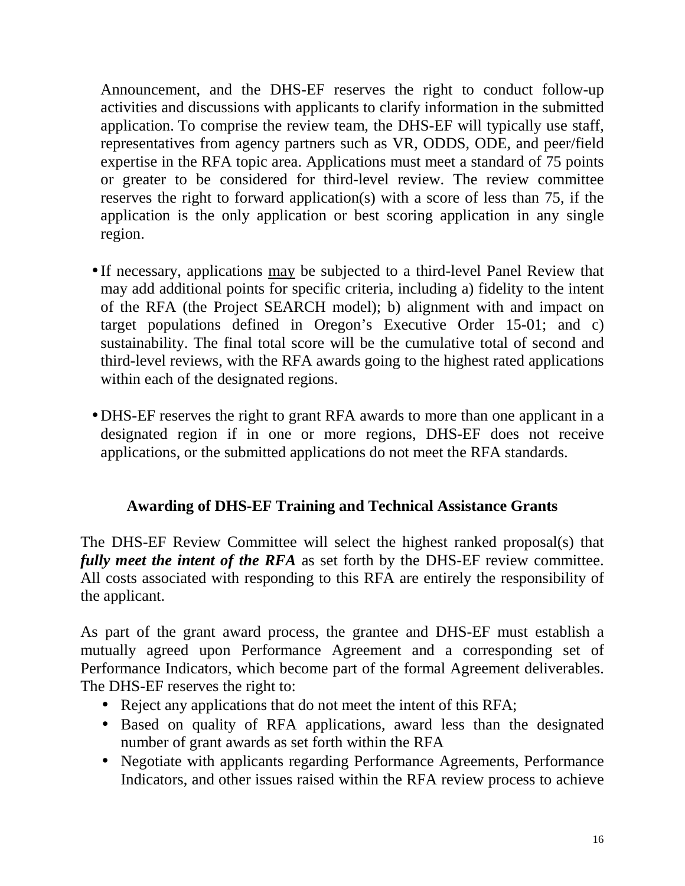Announcement, and the DHS-EF reserves the right to conduct follow-up activities and discussions with applicants to clarify information in the submitted application. To comprise the review team, the DHS-EF will typically use staff, representatives from agency partners such as VR, ODDS, ODE, and peer/field expertise in the RFA topic area. Applications must meet a standard of 75 points or greater to be considered for third-level review. The review committee reserves the right to forward application(s) with a score of less than 75, if the application is the only application or best scoring application in any single region.

- If necessary, applications may be subjected to a third-level Panel Review that may add additional points for specific criteria, including a) fidelity to the intent of the RFA (the Project SEARCH model); b) alignment with and impact on target populations defined in Oregon's Executive Order 15-01; and c) sustainability. The final total score will be the cumulative total of second and third-level reviews, with the RFA awards going to the highest rated applications within each of the designated regions.
- DHS-EF reserves the right to grant RFA awards to more than one applicant in a designated region if in one or more regions, DHS-EF does not receive applications, or the submitted applications do not meet the RFA standards.

## **Awarding of DHS-EF Training and Technical Assistance Grants**

The DHS-EF Review Committee will select the highest ranked proposal(s) that *fully meet the intent of the RFA* as set forth by the DHS-EF review committee. All costs associated with responding to this RFA are entirely the responsibility of the applicant.

As part of the grant award process, the grantee and DHS-EF must establish a mutually agreed upon Performance Agreement and a corresponding set of Performance Indicators, which become part of the formal Agreement deliverables. The DHS-EF reserves the right to:

- Reject any applications that do not meet the intent of this RFA;
- Based on quality of RFA applications, award less than the designated number of grant awards as set forth within the RFA
- Negotiate with applicants regarding Performance Agreements, Performance Indicators, and other issues raised within the RFA review process to achieve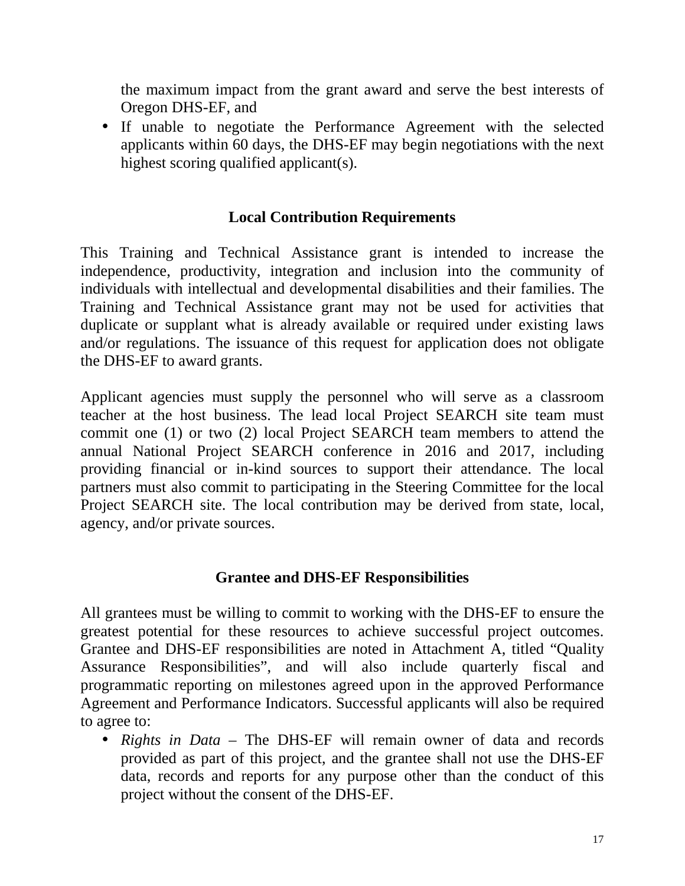the maximum impact from the grant award and serve the best interests of Oregon DHS-EF, and

• If unable to negotiate the Performance Agreement with the selected applicants within 60 days, the DHS-EF may begin negotiations with the next highest scoring qualified applicant(s).

### **Local Contribution Requirements**

This Training and Technical Assistance grant is intended to increase the independence, productivity, integration and inclusion into the community of individuals with intellectual and developmental disabilities and their families. The Training and Technical Assistance grant may not be used for activities that duplicate or supplant what is already available or required under existing laws and/or regulations. The issuance of this request for application does not obligate the DHS-EF to award grants.

Applicant agencies must supply the personnel who will serve as a classroom teacher at the host business. The lead local Project SEARCH site team must commit one (1) or two (2) local Project SEARCH team members to attend the annual National Project SEARCH conference in 2016 and 2017, including providing financial or in-kind sources to support their attendance. The local partners must also commit to participating in the Steering Committee for the local Project SEARCH site. The local contribution may be derived from state, local, agency, and/or private sources.

#### **Grantee and DHS-EF Responsibilities**

All grantees must be willing to commit to working with the DHS-EF to ensure the greatest potential for these resources to achieve successful project outcomes. Grantee and DHS-EF responsibilities are noted in Attachment A, titled "Quality Assurance Responsibilities", and will also include quarterly fiscal and programmatic reporting on milestones agreed upon in the approved Performance Agreement and Performance Indicators. Successful applicants will also be required to agree to:

• *Rights in Data* – The DHS-EF will remain owner of data and records provided as part of this project, and the grantee shall not use the DHS-EF data, records and reports for any purpose other than the conduct of this project without the consent of the DHS-EF.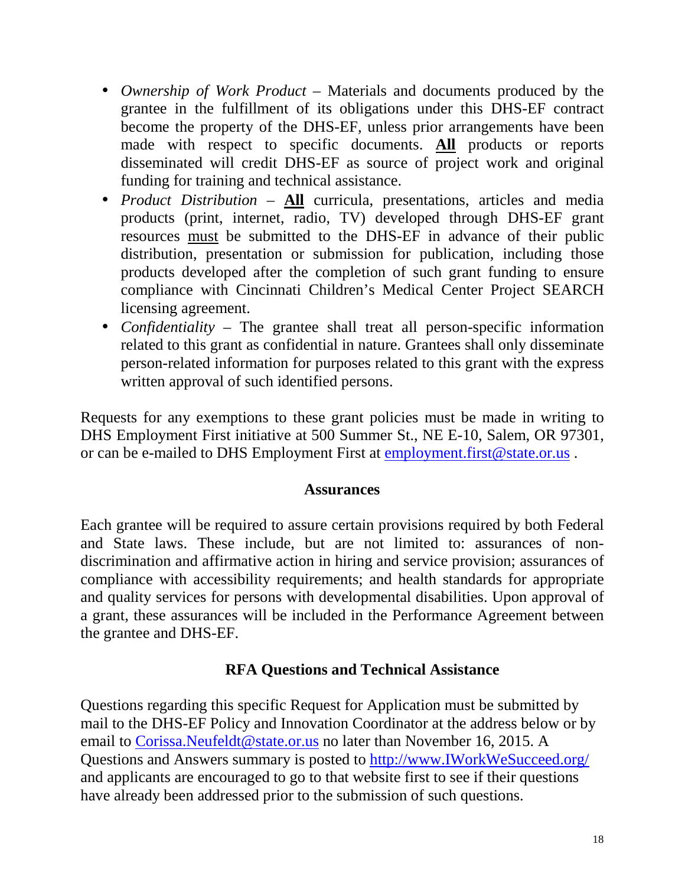- *Ownership of Work Product* Materials and documents produced by the grantee in the fulfillment of its obligations under this DHS-EF contract become the property of the DHS-EF, unless prior arrangements have been made with respect to specific documents. **All** products or reports disseminated will credit DHS-EF as source of project work and original funding for training and technical assistance.
- *Product Distribution* **All** curricula, presentations, articles and media products (print, internet, radio, TV) developed through DHS-EF grant resources must be submitted to the DHS-EF in advance of their public distribution, presentation or submission for publication, including those products developed after the completion of such grant funding to ensure compliance with Cincinnati Children's Medical Center Project SEARCH licensing agreement.
- *Confidentiality*  The grantee shall treat all person-specific information related to this grant as confidential in nature. Grantees shall only disseminate person-related information for purposes related to this grant with the express written approval of such identified persons.

Requests for any exemptions to these grant policies must be made in writing to DHS Employment First initiative at 500 Summer St., NE E-10, Salem, OR 97301, or can be e-mailed to DHS Employment First at employment.first@state.or.us.

#### **Assurances**

Each grantee will be required to assure certain provisions required by both Federal and State laws. These include, but are not limited to: assurances of nondiscrimination and affirmative action in hiring and service provision; assurances of compliance with accessibility requirements; and health standards for appropriate and quality services for persons with developmental disabilities. Upon approval of a grant, these assurances will be included in the Performance Agreement between the grantee and DHS-EF.

#### **RFA Questions and Technical Assistance**

Questions regarding this specific Request for Application must be submitted by mail to the DHS-EF Policy and Innovation Coordinator at the address below or by email to Corissa.Neufeldt@state.or.us no later than November 16, 2015. A Questions and Answers summary is posted to http://www.IWorkWeSucceed.org/ and applicants are encouraged to go to that website first to see if their questions have already been addressed prior to the submission of such questions.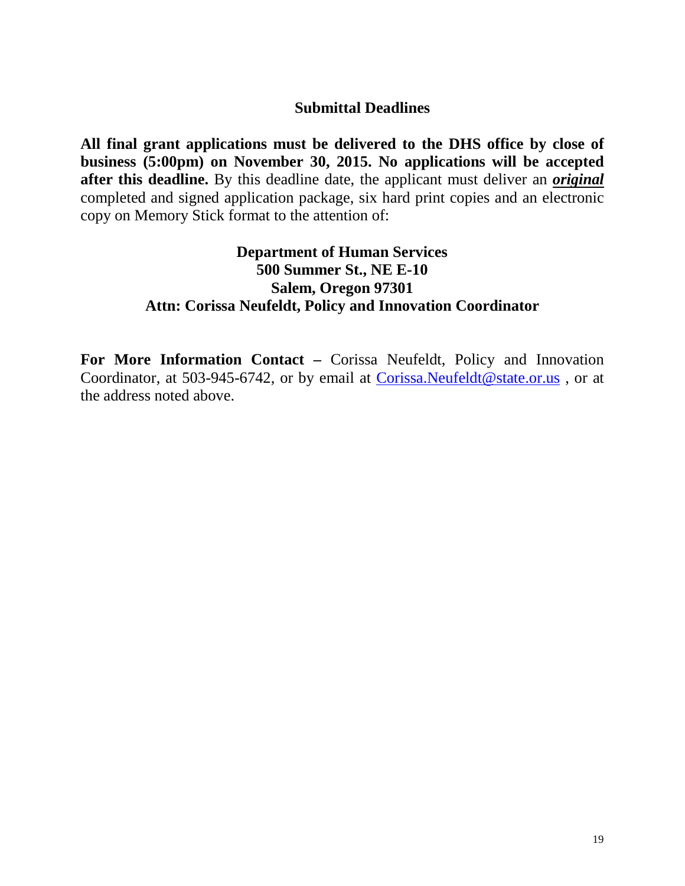#### **Submittal Deadlines**

**All final grant applications must be delivered to the DHS office by close of business (5:00pm) on November 30, 2015. No applications will be accepted after this deadline.** By this deadline date, the applicant must deliver an *original* completed and signed application package, six hard print copies and an electronic copy on Memory Stick format to the attention of:

#### **Department of Human Services 500 Summer St., NE E-10 Salem, Oregon 97301 Attn: Corissa Neufeldt, Policy and Innovation Coordinator**

**For More Information Contact –** Corissa Neufeldt, Policy and Innovation Coordinator, at 503-945-6742, or by email at Corissa.Neufeldt@state.or.us , or at the address noted above.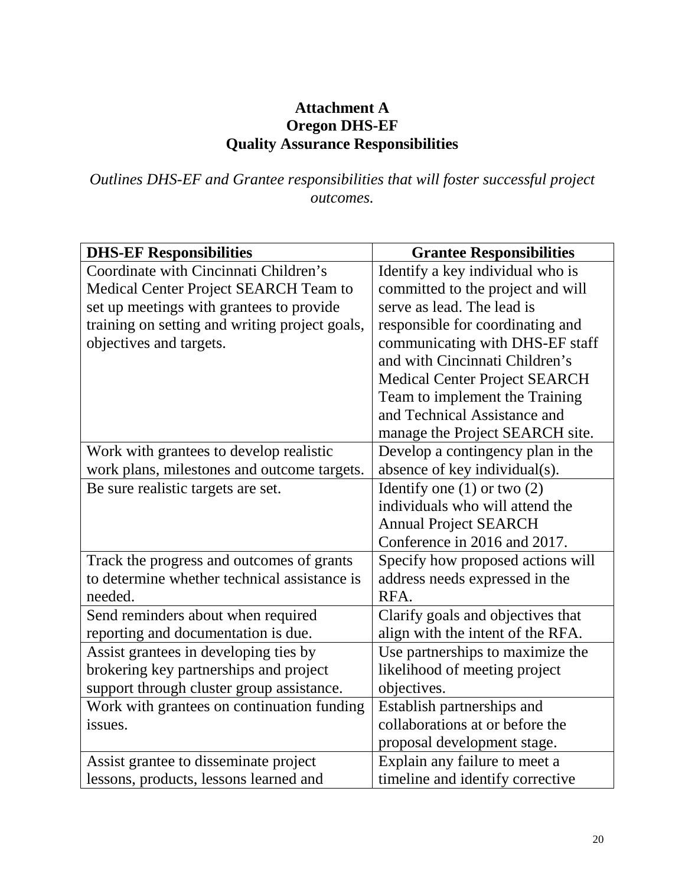### **Attachment A Oregon DHS-EF Quality Assurance Responsibilities**

### *Outlines DHS-EF and Grantee responsibilities that will foster successful project outcomes.*

| <b>DHS-EF Responsibilities</b>                 | <b>Grantee Responsibilities</b>      |
|------------------------------------------------|--------------------------------------|
| Coordinate with Cincinnati Children's          | Identify a key individual who is     |
| Medical Center Project SEARCH Team to          | committed to the project and will    |
| set up meetings with grantees to provide       | serve as lead. The lead is           |
| training on setting and writing project goals, | responsible for coordinating and     |
| objectives and targets.                        | communicating with DHS-EF staff      |
|                                                | and with Cincinnati Children's       |
|                                                | <b>Medical Center Project SEARCH</b> |
|                                                | Team to implement the Training       |
|                                                | and Technical Assistance and         |
|                                                | manage the Project SEARCH site.      |
| Work with grantees to develop realistic        | Develop a contingency plan in the    |
| work plans, milestones and outcome targets.    | absence of key individual(s).        |
| Be sure realistic targets are set.             | Identify one $(1)$ or two $(2)$      |
|                                                | individuals who will attend the      |
|                                                | <b>Annual Project SEARCH</b>         |
|                                                | Conference in 2016 and 2017.         |
| Track the progress and outcomes of grants      | Specify how proposed actions will    |
| to determine whether technical assistance is   | address needs expressed in the       |
| needed.                                        | RFA.                                 |
| Send reminders about when required             | Clarify goals and objectives that    |
| reporting and documentation is due.            | align with the intent of the RFA.    |
| Assist grantees in developing ties by          | Use partnerships to maximize the     |
| brokering key partnerships and project         | likelihood of meeting project        |
| support through cluster group assistance.      | objectives.                          |
| Work with grantees on continuation funding     | Establish partnerships and           |
| issues.                                        | collaborations at or before the      |
|                                                | proposal development stage.          |
| Assist grantee to disseminate project          | Explain any failure to meet a        |
| lessons, products, lessons learned and         | timeline and identify corrective     |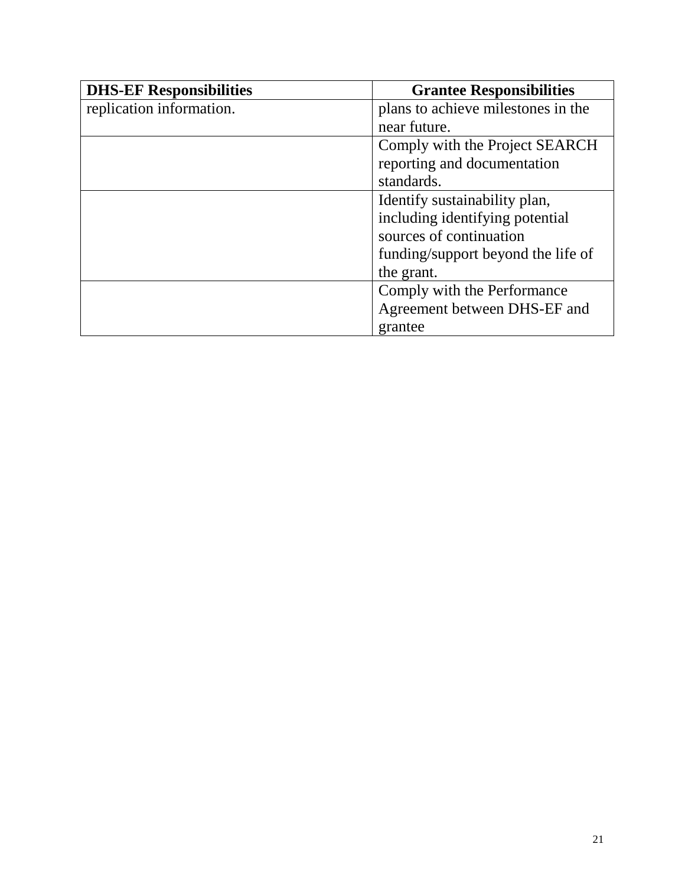| <b>DHS-EF Responsibilities</b> | <b>Grantee Responsibilities</b>    |  |  |
|--------------------------------|------------------------------------|--|--|
| replication information.       | plans to achieve milestones in the |  |  |
|                                | near future.                       |  |  |
|                                | Comply with the Project SEARCH     |  |  |
|                                | reporting and documentation        |  |  |
|                                | standards.                         |  |  |
|                                | Identify sustainability plan,      |  |  |
|                                | including identifying potential    |  |  |
|                                | sources of continuation            |  |  |
|                                | funding/support beyond the life of |  |  |
|                                | the grant.                         |  |  |
|                                | Comply with the Performance        |  |  |
|                                | Agreement between DHS-EF and       |  |  |
|                                | grantee                            |  |  |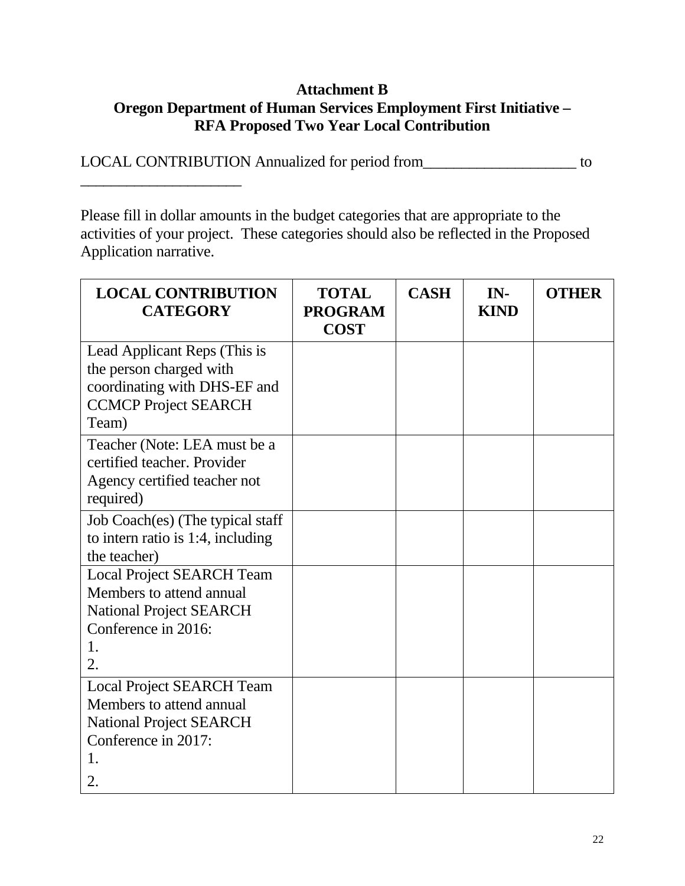#### **Attachment B Oregon Department of Human Services Employment First Initiative – RFA Proposed Two Year Local Contribution**

LOCAL CONTRIBUTION Annualized for period from\_\_\_\_\_\_\_\_\_\_\_\_\_\_\_\_\_\_\_\_ to

 $\overline{\phantom{a}}$  , and the set of the set of the set of the set of the set of the set of the set of the set of the set of the set of the set of the set of the set of the set of the set of the set of the set of the set of the s

Please fill in dollar amounts in the budget categories that are appropriate to the activities of your project. These categories should also be reflected in the Proposed Application narrative.

| <b>LOCAL CONTRIBUTION</b><br><b>CATEGORY</b>                             | <b>TOTAL</b><br><b>PROGRAM</b><br><b>COST</b> | <b>CASH</b> | IN-<br><b>KIND</b> | <b>OTHER</b> |
|--------------------------------------------------------------------------|-----------------------------------------------|-------------|--------------------|--------------|
| Lead Applicant Reps (This is                                             |                                               |             |                    |              |
| the person charged with                                                  |                                               |             |                    |              |
| coordinating with DHS-EF and<br><b>CCMCP Project SEARCH</b>              |                                               |             |                    |              |
| Team)                                                                    |                                               |             |                    |              |
| Teacher (Note: LEA must be a                                             |                                               |             |                    |              |
| certified teacher. Provider                                              |                                               |             |                    |              |
| Agency certified teacher not                                             |                                               |             |                    |              |
| required)                                                                |                                               |             |                    |              |
| Job Coach(es) (The typical staff<br>to intern ratio is $1:4$ , including |                                               |             |                    |              |
| the teacher)                                                             |                                               |             |                    |              |
| <b>Local Project SEARCH Team</b>                                         |                                               |             |                    |              |
| Members to attend annual                                                 |                                               |             |                    |              |
| <b>National Project SEARCH</b>                                           |                                               |             |                    |              |
| Conference in 2016:                                                      |                                               |             |                    |              |
| 1.                                                                       |                                               |             |                    |              |
| 2.                                                                       |                                               |             |                    |              |
| <b>Local Project SEARCH Team</b>                                         |                                               |             |                    |              |
| Members to attend annual                                                 |                                               |             |                    |              |
| <b>National Project SEARCH</b>                                           |                                               |             |                    |              |
| Conference in 2017:                                                      |                                               |             |                    |              |
| 1.                                                                       |                                               |             |                    |              |
| 2.                                                                       |                                               |             |                    |              |